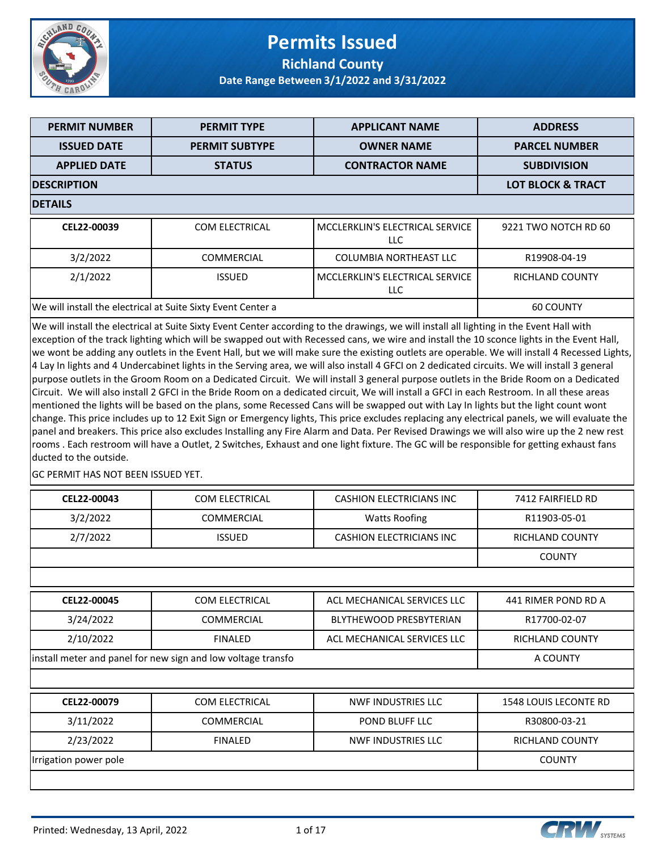

### **Permits Issued Richland County**

**Date Range Between 3/1/2022 and 3/31/2022**

| <b>PERMIT NUMBER</b>                                         | <b>PERMIT TYPE</b>    | <b>APPLICANT NAME</b>                   | <b>ADDRESS</b>         |  |  |
|--------------------------------------------------------------|-----------------------|-----------------------------------------|------------------------|--|--|
| <b>ISSUED DATE</b>                                           | <b>PERMIT SUBTYPE</b> | <b>OWNER NAME</b>                       | <b>PARCEL NUMBER</b>   |  |  |
| <b>APPLIED DATE</b>                                          | <b>STATUS</b>         | <b>CONTRACTOR NAME</b>                  | <b>SUBDIVISION</b>     |  |  |
| <b>DESCRIPTION</b>                                           |                       |                                         |                        |  |  |
| <b>DETAILS</b>                                               |                       |                                         |                        |  |  |
| CEL22-00039                                                  | <b>COM ELECTRICAL</b> | MCCLERKLIN'S ELECTRICAL SERVICE<br>LLC. | 9221 TWO NOTCH RD 60   |  |  |
| 3/2/2022                                                     | <b>COMMERCIAL</b>     | <b>COLUMBIA NORTHEAST LLC</b>           | R19908-04-19           |  |  |
| 2/1/2022                                                     | <b>ISSUED</b>         | MCCLERKLIN'S ELECTRICAL SERVICE<br>LLC. | <b>RICHLAND COUNTY</b> |  |  |
| We will install the electrical at Suite Sixty Event Center a | <b>60 COUNTY</b>      |                                         |                        |  |  |

We will install the electrical at Suite Sixty Event Center according to the drawings, we will install all lighting in the Event Hall with exception of the track lighting which will be swapped out with Recessed cans, we wire and install the 10 sconce lights in the Event Hall, we wont be adding any outlets in the Event Hall, but we will make sure the existing outlets are operable. We will install 4 Recessed Lights, 4 Lay In lights and 4 Undercabinet lights in the Serving area, we will also install 4 GFCI on 2 dedicated circuits. We will install 3 general purpose outlets in the Groom Room on a Dedicated Circuit. We will install 3 general purpose outlets in the Bride Room on a Dedicated Circuit. We will also install 2 GFCI in the Bride Room on a dedicated circuit, We will install a GFCI in each Restroom. In all these areas mentioned the lights will be based on the plans, some Recessed Cans will be swapped out with Lay In lights but the light count wont change. This price includes up to 12 Exit Sign or Emergency lights, This price excludes replacing any electrical panels, we will evaluate the panel and breakers. This price also excludes Installing any Fire Alarm and Data. Per Revised Drawings we will also wire up the 2 new rest rooms . Each restroom will have a Outlet, 2 Switches, Exhaust and one light fixture. The GC will be responsible for getting exhaust fans ducted to the outside.

**GC PERMIT HAS NOT BEEN ISSUED YET.** 

| CEL22-00043                                                  | <b>COM ELECTRICAL</b> | <b>CASHION ELECTRICIANS INC</b> | 7412 FAIRFIELD RD            |
|--------------------------------------------------------------|-----------------------|---------------------------------|------------------------------|
| 3/2/2022                                                     | <b>COMMERCIAL</b>     | <b>Watts Roofing</b>            | R11903-05-01                 |
| 2/7/2022                                                     | <b>ISSUED</b>         | <b>CASHION ELECTRICIANS INC</b> | <b>RICHLAND COUNTY</b>       |
|                                                              |                       |                                 | <b>COUNTY</b>                |
|                                                              |                       |                                 |                              |
| CEL22-00045                                                  | <b>COM ELECTRICAL</b> | ACL MECHANICAL SERVICES LLC     | 441 RIMER POND RD A          |
| 3/24/2022                                                    | <b>COMMERCIAL</b>     | <b>BLYTHEWOOD PRESBYTERIAN</b>  | R17700-02-07                 |
| 2/10/2022                                                    | <b>FINALED</b>        | ACL MECHANICAL SERVICES LLC     | <b>RICHLAND COUNTY</b>       |
| install meter and panel for new sign and low voltage transfo | A COUNTY              |                                 |                              |
|                                                              |                       |                                 |                              |
| CEL22-00079                                                  | <b>COM ELECTRICAL</b> | <b>NWF INDUSTRIES LLC</b>       | <b>1548 LOUIS LECONTE RD</b> |
| 3/11/2022                                                    | <b>COMMERCIAL</b>     | POND BLUFF LLC                  | R30800-03-21                 |
| 2/23/2022                                                    | <b>FINALED</b>        | NWF INDUSTRIES LLC              | RICHLAND COUNTY              |
| Irrigation power pole                                        |                       |                                 | <b>COUNTY</b>                |
|                                                              |                       |                                 |                              |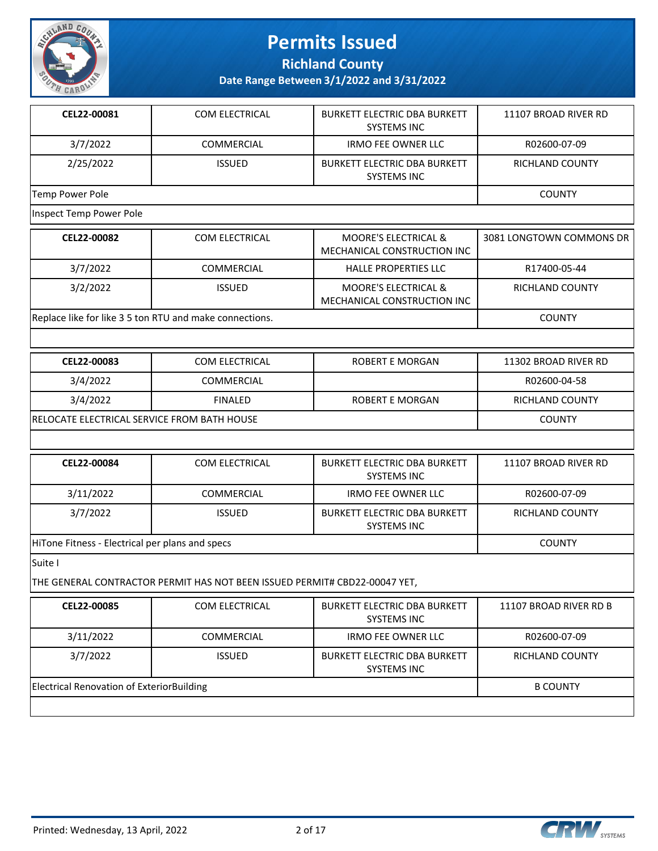

**Richland County**

**Date Range Between 3/1/2022 and 3/31/2022**

| CEL22-00081     | <b>COM ELECTRICAL</b> | <b>BURKETT ELECTRIC DBA BURKETT</b><br><b>SYSTEMS INC</b> | 11107 BROAD RIVER RD   |
|-----------------|-----------------------|-----------------------------------------------------------|------------------------|
| 3/7/2022        | <b>COMMERCIAL</b>     | <b>IRMO FEE OWNER LLC</b>                                 | R02600-07-09           |
| 2/25/2022       | <b>ISSUED</b>         | <b>BURKETT ELECTRIC DBA BURKETT</b><br>SYSTEMS INC        | <b>RICHLAND COUNTY</b> |
| Temp Power Pole |                       |                                                           | <b>COUNTY</b>          |

Inspect Temp Power Pole

| CEL22-00082 | <b>COM ELECTRICAL</b>                                   | <b>MOORE'S ELECTRICAL &amp;</b><br>MECHANICAL CONSTRUCTION INC | 3081 LONGTOWN COMMONS DR |
|-------------|---------------------------------------------------------|----------------------------------------------------------------|--------------------------|
| 3/7/2022    | COMMERCIAL                                              | <b>HALLE PROPERTIES LLC</b>                                    | R17400-05-44             |
| 3/2/2022    | <b>ISSUED</b>                                           | <b>MOORE'S ELECTRICAL &amp;</b><br>MECHANICAL CONSTRUCTION INC | RICHLAND COUNTY          |
|             | Replace like for like 3 5 ton RTU and make connections. |                                                                |                          |

| <b>CEL22-00083</b>                          | COM ELECTRICAL | ROBERT E MORGAN | 11302 BROAD RIVER RD |
|---------------------------------------------|----------------|-----------------|----------------------|
| 3/4/2022                                    | COMMERCIAL     |                 | R02600-04-58         |
| 3/4/2022                                    | <b>FINALED</b> | ROBERT E MORGAN | RICHLAND COUNTY      |
| RELOCATE ELECTRICAL SERVICE FROM BATH HOUSE |                |                 | <b>COUNTY</b>        |

| CEL22-00084                                     | COM ELECTRICAL    | <b>BURKETT ELECTRIC DBA BURKETT</b><br><b>SYSTEMS INC</b> | 11107 BROAD RIVER RD |
|-------------------------------------------------|-------------------|-----------------------------------------------------------|----------------------|
| 3/11/2022                                       | <b>COMMERCIAL</b> | <b>IRMO FEE OWNER LLC</b>                                 | R02600-07-09         |
| 3/7/2022                                        | <b>ISSUED</b>     | <b>BURKETT ELECTRIC DBA BURKETT</b><br><b>SYSTEMS INC</b> | RICHLAND COUNTY      |
| HiTone Fitness - Electrical per plans and specs |                   |                                                           | <b>COUNTY</b>        |

Suite I

THE GENERAL CONTRACTOR PERMIT HAS NOT BEEN ISSUED PERMIT# CBD22-00047 YET,

| CEL22-00085                                      | <b>COM ELECTRICAL</b> | <b>BURKETT ELECTRIC DBA BURKETT</b><br><b>SYSTEMS INC</b> | 11107 BROAD RIVER RD B |
|--------------------------------------------------|-----------------------|-----------------------------------------------------------|------------------------|
| 3/11/2022                                        | <b>COMMERCIAL</b>     | IRMO FEE OWNER LLC                                        | R02600-07-09           |
| 3/7/2022                                         | <b>ISSUED</b>         | <b>BURKETT ELECTRIC DBA BURKETT</b><br><b>SYSTEMS INC</b> | <b>RICHLAND COUNTY</b> |
| <b>Electrical Renovation of ExteriorBuilding</b> |                       |                                                           | <b>B COUNTY</b>        |
|                                                  |                       |                                                           |                        |

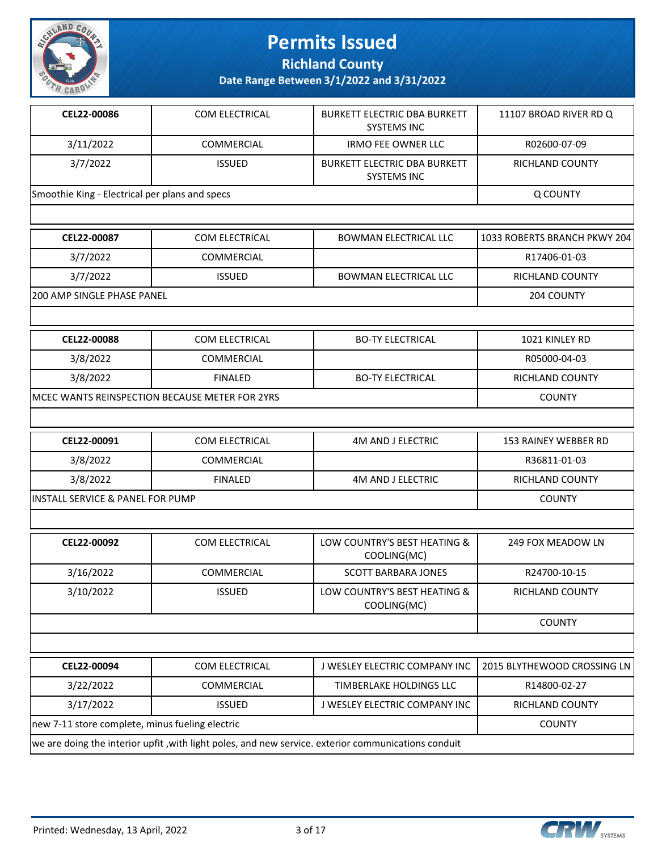

**Richland County**

| CEL22-00086                                    | COM ELECTRICAL                                  | <b>BURKETT ELECTRIC DBA BURKETT</b>                                                                  | 11107 BROAD RIVER RD Q       |  |
|------------------------------------------------|-------------------------------------------------|------------------------------------------------------------------------------------------------------|------------------------------|--|
|                                                |                                                 | <b>SYSTEMS INC</b>                                                                                   |                              |  |
| 3/11/2022                                      | COMMERCIAL                                      | <b>IRMO FEE OWNER LLC</b>                                                                            | R02600-07-09                 |  |
| 3/7/2022                                       | <b>ISSUED</b>                                   | <b>BURKETT ELECTRIC DBA BURKETT</b><br><b>SYSTEMS INC</b>                                            | RICHLAND COUNTY              |  |
| Smoothie King - Electrical per plans and specs |                                                 |                                                                                                      | Q COUNTY                     |  |
|                                                |                                                 |                                                                                                      |                              |  |
| CEL22-00087                                    | COM ELECTRICAL                                  | <b>BOWMAN ELECTRICAL LLC</b>                                                                         | 1033 ROBERTS BRANCH PKWY 204 |  |
| 3/7/2022                                       | COMMERCIAL                                      |                                                                                                      | R17406-01-03                 |  |
| 3/7/2022                                       | <b>ISSUED</b>                                   | <b>BOWMAN ELECTRICAL LLC</b>                                                                         | RICHLAND COUNTY              |  |
| 200 AMP SINGLE PHASE PANEL                     |                                                 |                                                                                                      | 204 COUNTY                   |  |
|                                                |                                                 |                                                                                                      |                              |  |
| CEL22-00088                                    | COM ELECTRICAL                                  | <b>BO-TY ELECTRICAL</b>                                                                              | 1021 KINLEY RD               |  |
| 3/8/2022                                       | COMMERCIAL                                      |                                                                                                      | R05000-04-03                 |  |
| 3/8/2022                                       | <b>FINALED</b>                                  | <b>BO-TY ELECTRICAL</b>                                                                              | <b>RICHLAND COUNTY</b>       |  |
| MCEC WANTS REINSPECTION BECAUSE METER FOR 2YRS | <b>COUNTY</b>                                   |                                                                                                      |                              |  |
|                                                |                                                 |                                                                                                      |                              |  |
| CEL22-00091                                    | <b>COM ELECTRICAL</b>                           | <b>4M AND J ELECTRIC</b>                                                                             | 153 RAINEY WEBBER RD         |  |
| 3/8/2022                                       | COMMERCIAL                                      |                                                                                                      | R36811-01-03                 |  |
| 3/8/2022                                       | <b>FINALED</b>                                  | <b>4M AND J ELECTRIC</b>                                                                             | RICHLAND COUNTY              |  |
| INSTALL SERVICE & PANEL FOR PUMP               |                                                 |                                                                                                      | <b>COUNTY</b>                |  |
|                                                |                                                 |                                                                                                      |                              |  |
| CEL22-00092                                    | COM ELECTRICAL                                  | LOW COUNTRY'S BEST HEATING &<br>COOLING(MC)                                                          | 249 FOX MEADOW LN            |  |
| 3/16/2022                                      | COMMERCIAL                                      | <b>SCOTT BARBARA JONES</b>                                                                           | R24700-10-15                 |  |
| 3/10/2022                                      | <b>ISSUED</b>                                   | LOW COUNTRY'S BEST HEATING &<br>COOLING(MC)                                                          | RICHLAND COUNTY              |  |
|                                                |                                                 |                                                                                                      | <b>COUNTY</b>                |  |
|                                                |                                                 |                                                                                                      |                              |  |
| CEL22-00094                                    | COM ELECTRICAL                                  | J WESLEY ELECTRIC COMPANY INC                                                                        | 2015 BLYTHEWOOD CROSSING LN  |  |
| 3/22/2022                                      | COMMERCIAL                                      | TIMBERLAKE HOLDINGS LLC                                                                              | R14800-02-27                 |  |
| 3/17/2022                                      | <b>ISSUED</b>                                   | J WESLEY ELECTRIC COMPANY INC                                                                        | RICHLAND COUNTY              |  |
|                                                | new 7-11 store complete, minus fueling electric |                                                                                                      |                              |  |
|                                                |                                                 | we are doing the interior upfit , with light poles, and new service. exterior communications conduit |                              |  |

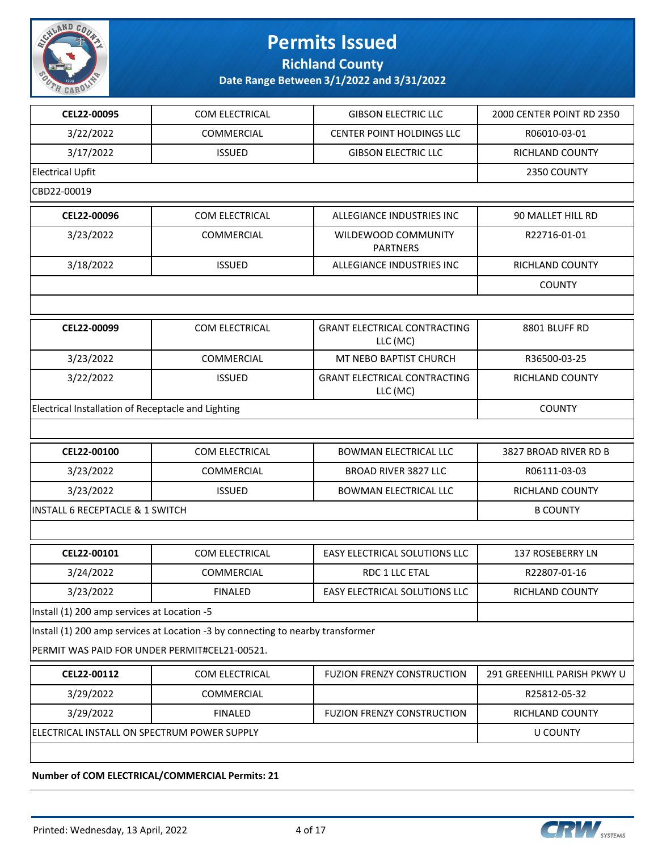

**Richland County**

**Date Range Between 3/1/2022 and 3/31/2022**

| CEL22-00095                                        | COM ELECTRICAL                                                                  | <b>GIBSON ELECTRIC LLC</b>                      | 2000 CENTER POINT RD 2350   |  |
|----------------------------------------------------|---------------------------------------------------------------------------------|-------------------------------------------------|-----------------------------|--|
| 3/22/2022                                          | <b>COMMERCIAL</b>                                                               | CENTER POINT HOLDINGS LLC                       | R06010-03-01                |  |
| 3/17/2022                                          | <b>ISSUED</b>                                                                   | <b>GIBSON ELECTRIC LLC</b>                      | RICHLAND COUNTY             |  |
| <b>Electrical Upfit</b>                            |                                                                                 |                                                 | 2350 COUNTY                 |  |
| CBD22-00019                                        |                                                                                 |                                                 |                             |  |
| CEL22-00096                                        | COM ELECTRICAL                                                                  | ALLEGIANCE INDUSTRIES INC                       | 90 MALLET HILL RD           |  |
| 3/23/2022                                          | <b>COMMERCIAL</b>                                                               | WILDEWOOD COMMUNITY<br><b>PARTNERS</b>          | R22716-01-01                |  |
| 3/18/2022                                          | <b>ISSUED</b>                                                                   | ALLEGIANCE INDUSTRIES INC                       | RICHLAND COUNTY             |  |
|                                                    |                                                                                 |                                                 | <b>COUNTY</b>               |  |
|                                                    |                                                                                 |                                                 |                             |  |
| CEL22-00099                                        | COM ELECTRICAL                                                                  | <b>GRANT ELECTRICAL CONTRACTING</b><br>LLC (MC) | 8801 BLUFF RD               |  |
| 3/23/2022                                          | COMMERCIAL                                                                      | MT NEBO BAPTIST CHURCH                          | R36500-03-25                |  |
| 3/22/2022                                          | <b>ISSUED</b>                                                                   | <b>GRANT ELECTRICAL CONTRACTING</b><br>LLC (MC) | RICHLAND COUNTY             |  |
| Electrical Installation of Receptacle and Lighting | <b>COUNTY</b>                                                                   |                                                 |                             |  |
|                                                    |                                                                                 |                                                 |                             |  |
| CEL22-00100                                        | COM ELECTRICAL                                                                  | <b>BOWMAN ELECTRICAL LLC</b>                    | 3827 BROAD RIVER RD B       |  |
| 3/23/2022                                          | <b>COMMERCIAL</b>                                                               | <b>BROAD RIVER 3827 LLC</b>                     | R06111-03-03                |  |
| 3/23/2022                                          | <b>ISSUED</b>                                                                   | <b>BOWMAN ELECTRICAL LLC</b>                    | RICHLAND COUNTY             |  |
| <b>INSTALL 6 RECEPTACLE &amp; 1 SWITCH</b>         | <b>B COUNTY</b>                                                                 |                                                 |                             |  |
|                                                    |                                                                                 |                                                 |                             |  |
| CEL22-00101                                        | COM ELECTRICAL                                                                  | <b>EASY ELECTRICAL SOLUTIONS LLC</b>            | 137 ROSEBERRY LN            |  |
| 3/24/2022                                          | <b>COMMERCIAL</b>                                                               | RDC 1 LLC ETAL                                  | R22807-01-16                |  |
| 3/23/2022                                          | <b>FINALED</b>                                                                  | EASY ELECTRICAL SOLUTIONS LLC                   | RICHLAND COUNTY             |  |
| Install (1) 200 amp services at Location -5        |                                                                                 |                                                 |                             |  |
|                                                    | Install (1) 200 amp services at Location -3 by connecting to nearby transformer |                                                 |                             |  |
| PERMIT WAS PAID FOR UNDER PERMIT#CEL21-00521.      |                                                                                 |                                                 |                             |  |
| CEL22-00112                                        | COM ELECTRICAL                                                                  | <b>FUZION FRENZY CONSTRUCTION</b>               | 291 GREENHILL PARISH PKWY U |  |
| 3/29/2022                                          | <b>COMMERCIAL</b>                                                               |                                                 | R25812-05-32                |  |
| 3/29/2022                                          | <b>FINALED</b>                                                                  | <b>FUZION FRENZY CONSTRUCTION</b>               | RICHLAND COUNTY             |  |
|                                                    | ELECTRICAL INSTALL ON SPECTRUM POWER SUPPLY                                     |                                                 |                             |  |
|                                                    |                                                                                 |                                                 |                             |  |

**Number of COM ELECTRICAL/COMMERCIAL Permits: 21**

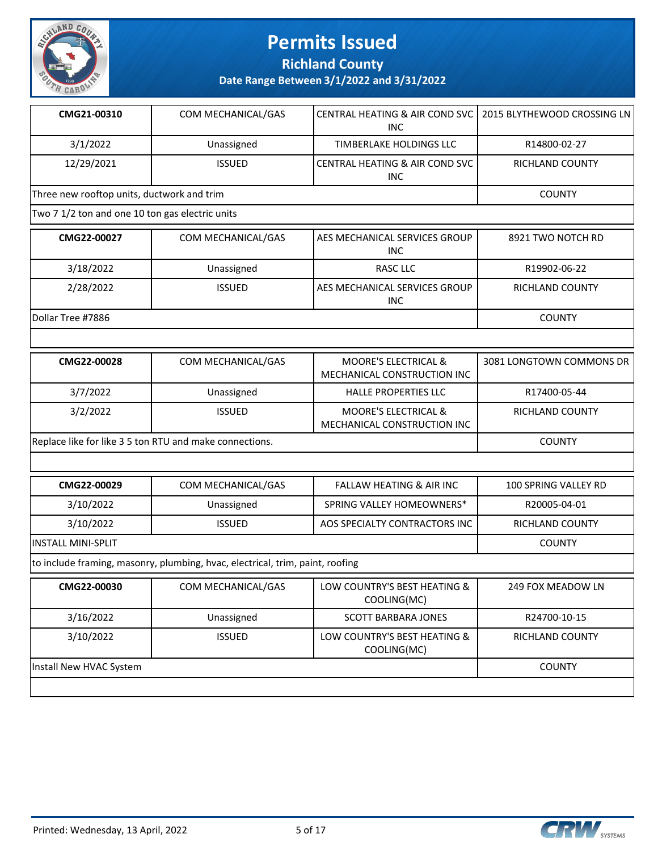

**Richland County**

| CMG21-00310                                             | COM MECHANICAL/GAS                                                            | CENTRAL HEATING & AIR COND SVC<br><b>INC</b>                   | 2015 BLYTHEWOOD CROSSING LN |
|---------------------------------------------------------|-------------------------------------------------------------------------------|----------------------------------------------------------------|-----------------------------|
| 3/1/2022                                                | Unassigned                                                                    | TIMBERLAKE HOLDINGS LLC                                        | R14800-02-27                |
| 12/29/2021                                              | <b>ISSUED</b>                                                                 | CENTRAL HEATING & AIR COND SVC<br><b>INC</b>                   | RICHLAND COUNTY             |
| Three new rooftop units, ductwork and trim              |                                                                               |                                                                | <b>COUNTY</b>               |
| Two 7 1/2 ton and one 10 ton gas electric units         |                                                                               |                                                                |                             |
| CMG22-00027                                             | COM MECHANICAL/GAS                                                            | AES MECHANICAL SERVICES GROUP<br><b>INC</b>                    | 8921 TWO NOTCH RD           |
| 3/18/2022                                               | Unassigned                                                                    | <b>RASC LLC</b>                                                | R19902-06-22                |
| 2/28/2022                                               | <b>ISSUED</b>                                                                 | AES MECHANICAL SERVICES GROUP<br><b>INC</b>                    | RICHLAND COUNTY             |
| Dollar Tree #7886                                       |                                                                               |                                                                | <b>COUNTY</b>               |
|                                                         |                                                                               |                                                                |                             |
| CMG22-00028                                             | COM MECHANICAL/GAS                                                            | <b>MOORE'S ELECTRICAL &amp;</b><br>MECHANICAL CONSTRUCTION INC | 3081 LONGTOWN COMMONS DR    |
| 3/7/2022                                                | Unassigned                                                                    | <b>HALLE PROPERTIES LLC</b>                                    | R17400-05-44                |
| 3/2/2022                                                | <b>ISSUED</b>                                                                 | MOORE'S ELECTRICAL &<br>MECHANICAL CONSTRUCTION INC            | RICHLAND COUNTY             |
| Replace like for like 3 5 ton RTU and make connections. | <b>COUNTY</b>                                                                 |                                                                |                             |
|                                                         |                                                                               |                                                                |                             |
| CMG22-00029                                             | COM MECHANICAL/GAS                                                            | <b>FALLAW HEATING &amp; AIR INC</b>                            | 100 SPRING VALLEY RD        |
| 3/10/2022                                               | Unassigned                                                                    | SPRING VALLEY HOMEOWNERS*                                      | R20005-04-01                |
| 3/10/2022                                               | <b>ISSUED</b>                                                                 | AOS SPECIALTY CONTRACTORS INC                                  | RICHLAND COUNTY             |
| <b>INSTALL MINI-SPLIT</b>                               |                                                                               |                                                                | <b>COUNTY</b>               |
|                                                         | to include framing, masonry, plumbing, hvac, electrical, trim, paint, roofing |                                                                |                             |
| CMG22-00030                                             | COM MECHANICAL/GAS                                                            | LOW COUNTRY'S BEST HEATING &<br>COOLING(MC)                    | 249 FOX MEADOW LN           |
| 3/16/2022                                               | Unassigned                                                                    | <b>SCOTT BARBARA JONES</b>                                     | R24700-10-15                |
| 3/10/2022                                               | <b>ISSUED</b>                                                                 | LOW COUNTRY'S BEST HEATING &<br>COOLING(MC)                    | RICHLAND COUNTY             |
| Install New HVAC System                                 | <b>COUNTY</b>                                                                 |                                                                |                             |

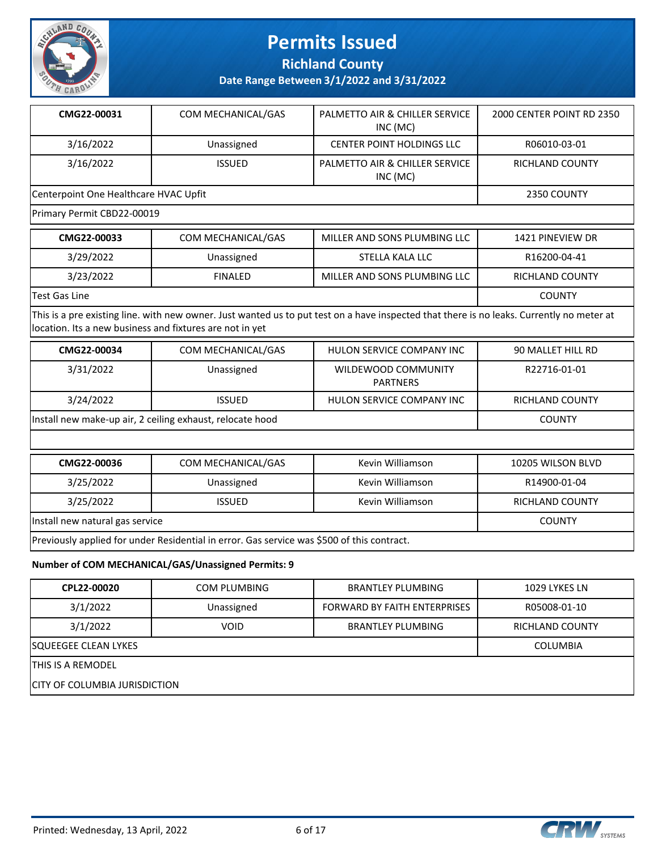

**Richland County**

**Date Range Between 3/1/2022 and 3/31/2022**

| CMG22-00031                           | COM MECHANICAL/GAS | PALMETTO AIR & CHILLER SERVICE<br>INC (MC) | 2000 CENTER POINT RD 2350 |
|---------------------------------------|--------------------|--------------------------------------------|---------------------------|
| 3/16/2022                             | Unassigned         | <b>CENTER POINT HOLDINGS LLC</b>           | R06010-03-01              |
| 3/16/2022                             | <b>ISSUED</b>      | PALMETTO AIR & CHILLER SERVICE<br>INC (MC) | RICHLAND COUNTY           |
| Centerpoint One Healthcare HVAC Upfit |                    |                                            | 2350 COUNTY               |

Primary Permit CBD22-00019

| CMG22-00033    | COM MECHANICAL/GAS | MILLER AND SONS PLUMBING LLC | 1421 PINEVIEW DR |
|----------------|--------------------|------------------------------|------------------|
| 3/29/2022      | Unassigned         | STELLA KALA LLC              | R16200-04-41     |
| 3/23/2022      | <b>FINALED</b>     | MILLER AND SONS PLUMBING LLC | RICHLAND COUNTY  |
| 'Test Gas Line |                    |                              | <b>COUNTY</b>    |

This is a pre existing line. with new owner. Just wanted us to put test on a have inspected that there is no leaks. Currently no meter at location. Its a new business and fixtures are not in yet

| CMG22-00034                                               | COM MECHANICAL/GAS | HULON SERVICE COMPANY INC              | 90 MALLET HILL RD |
|-----------------------------------------------------------|--------------------|----------------------------------------|-------------------|
| 3/31/2022                                                 | Unassigned         | WILDEWOOD COMMUNITY<br><b>PARTNERS</b> | R22716-01-01      |
| 3/24/2022                                                 | <b>ISSUED</b>      | HULON SERVICE COMPANY INC              | RICHLAND COUNTY   |
| Install new make-up air, 2 ceiling exhaust, relocate hood |                    |                                        | <b>COUNTY</b>     |

| CMG22-00036                                                                                | COM MECHANICAL/GAS | Kevin Williamson | 10205 WILSON BLVD      |  |
|--------------------------------------------------------------------------------------------|--------------------|------------------|------------------------|--|
| 3/25/2022                                                                                  | Unassigned         | Kevin Williamson | R14900-01-04           |  |
| 3/25/2022                                                                                  | <b>ISSUED</b>      | Kevin Williamson | <b>RICHLAND COUNTY</b> |  |
| Install new natural gas service<br><b>COUNTY</b>                                           |                    |                  |                        |  |
| Previously applied for under Residential in error. Gas service was \$500 of this contract. |                    |                  |                        |  |

#### **Number of COM MECHANICAL/GAS/Unassigned Permits: 9**

| CPL22-00020                           | <b>COM PLUMBING</b> | <b>BRANTLEY PLUMBING</b>            | 1029 LYKES LN          |  |  |
|---------------------------------------|---------------------|-------------------------------------|------------------------|--|--|
| 3/1/2022                              | Unassigned          | <b>FORWARD BY FAITH ENTERPRISES</b> | R05008-01-10           |  |  |
| 3/1/2022                              | <b>VOID</b>         | BRANTLEY PLUMBING                   | <b>RICHLAND COUNTY</b> |  |  |
| <b>SQUEEGEE CLEAN LYKES</b>           | <b>COLUMBIA</b>     |                                     |                        |  |  |
| ITHIS IS A REMODEL                    |                     |                                     |                        |  |  |
| <b>ICITY OF COLUMBIA JURISDICTION</b> |                     |                                     |                        |  |  |

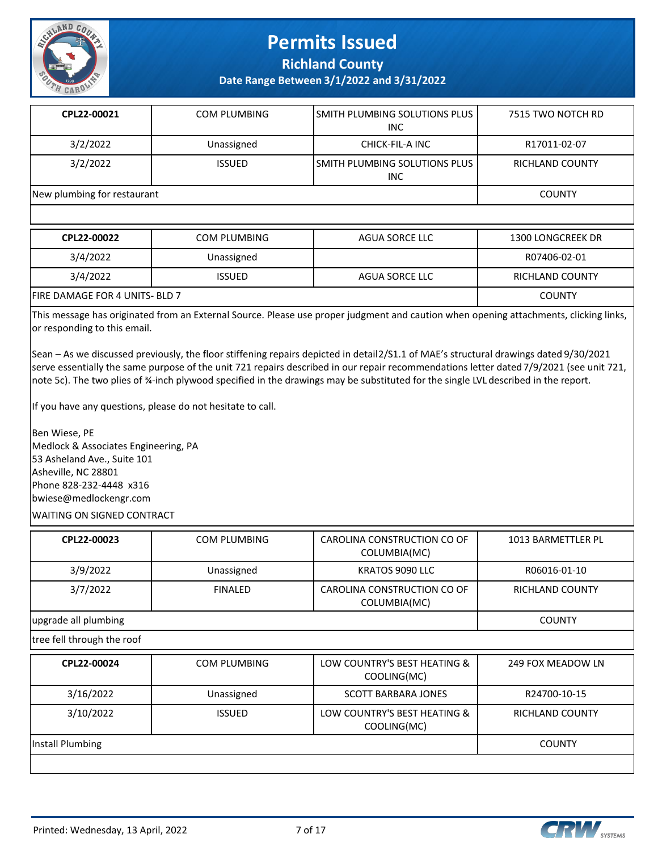

**Richland County**

**Date Range Between 3/1/2022 and 3/31/2022**

| CPL22-00021                 | COM PLUMBING  | ISMITH PLUMBING SOLUTIONS PLUS<br><b>INC</b> | 7515 TWO NOTCH RD |
|-----------------------------|---------------|----------------------------------------------|-------------------|
| 3/2/2022                    | Unassigned    | CHICK-FIL-A INC                              | R17011-02-07      |
| 3/2/2022                    | <b>ISSUED</b> | ISMITH PLUMBING SOLUTIONS PLUS<br><b>INC</b> | RICHLAND COUNTY   |
| New plumbing for restaurant |               |                                              | <b>COUNTY</b>     |

| CPL22-00022                           | <b>COM PLUMBING</b> | AGUA SORCE LLC | 1300 LONGCREEK DR |
|---------------------------------------|---------------------|----------------|-------------------|
| 3/4/2022                              | Unassigned          |                | R07406-02-01      |
| 3/4/2022                              | <b>ISSUED</b>       | AGUA SORCE LLC | RICHLAND COUNTY   |
| <b>FIRE DAMAGE FOR 4 UNITS- BLD 7</b> |                     |                | <b>COUNTY</b>     |

This message has originated from an External Source. Please use proper judgment and caution when opening attachments, clicking links, or responding to this email.

Sean – As we discussed previously, the floor stiffening repairs depicted in detail 2/S1.1 of MAE's structural drawings dated 9/30/2021 serve essentially the same purpose of the unit 721 repairs described in our repair recommendations letter dated 7/9/2021 (see unit 721, note 5c). The two plies of ¾-inch plywood specified in the drawings may be substituted for the single LVL described in the report.

If you have any questions, please do not hesitate to call.

Ben Wiese, PE Medlock & Associates Engineering, PA 53 Asheland Ave., Suite 101 Asheville, NC 28801 Phone 828-232-4448 x316 bwiese@medlockengr.com WAITING ON SIGNED CONTRACT

| CPL22-00023          | COM PLUMBING   | CAROLINA CONSTRUCTION CO OF<br>COLUMBIA(MC) | 1013 BARMETTLER PL |
|----------------------|----------------|---------------------------------------------|--------------------|
| 3/9/2022             | Unassigned     | KRATOS 9090 LLC                             | R06016-01-10       |
| 3/7/2022             | <b>FINALED</b> | CAROLINA CONSTRUCTION CO OF<br>COLUMBIA(MC) | RICHLAND COUNTY    |
| upgrade all plumbing |                |                                             | <b>COUNTY</b>      |

tree fell through the roof

| CPL22-00024      | <b>COM PLUMBING</b> | LOW COUNTRY'S BEST HEATING &<br>COOLING(MC) | 249 FOX MEADOW LN      |
|------------------|---------------------|---------------------------------------------|------------------------|
| 3/16/2022        | Unassigned          | <b>SCOTT BARBARA JONES</b>                  | R24700-10-15           |
| 3/10/2022        | <b>ISSUED</b>       | LOW COUNTRY'S BEST HEATING &<br>COOLING(MC) | <b>RICHLAND COUNTY</b> |
| Install Plumbing |                     |                                             | <b>COUNTY</b>          |
|                  |                     |                                             |                        |

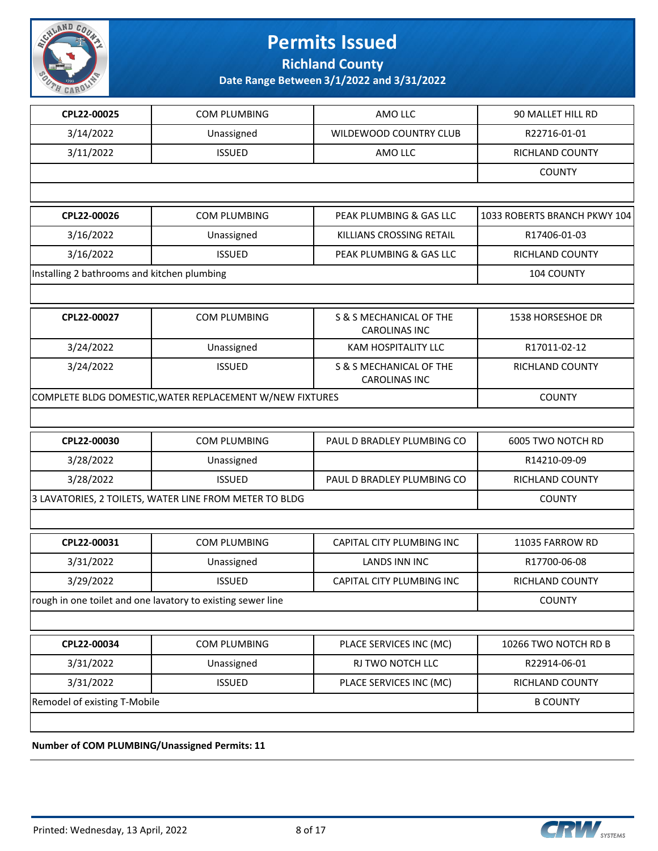

**Richland County**

**Date Range Between 3/1/2022 and 3/31/2022**

| CPL22-00025                                            | COM PLUMBING                                                | AMO LLC                                         | 90 MALLET HILL RD            |
|--------------------------------------------------------|-------------------------------------------------------------|-------------------------------------------------|------------------------------|
| 3/14/2022                                              | Unassigned                                                  | WILDEWOOD COUNTRY CLUB                          | R22716-01-01                 |
| 3/11/2022                                              | <b>ISSUED</b>                                               | AMO LLC                                         | RICHLAND COUNTY              |
|                                                        |                                                             |                                                 | <b>COUNTY</b>                |
|                                                        |                                                             |                                                 |                              |
| CPL22-00026                                            | COM PLUMBING                                                | PEAK PLUMBING & GAS LLC                         | 1033 ROBERTS BRANCH PKWY 104 |
| 3/16/2022                                              | Unassigned                                                  | KILLIANS CROSSING RETAIL                        | R17406-01-03                 |
| 3/16/2022                                              | <b>ISSUED</b>                                               | PEAK PLUMBING & GAS LLC                         | <b>RICHLAND COUNTY</b>       |
| Installing 2 bathrooms and kitchen plumbing            |                                                             |                                                 | 104 COUNTY                   |
|                                                        |                                                             |                                                 |                              |
| CPL22-00027                                            | <b>COM PLUMBING</b>                                         | S & S MECHANICAL OF THE<br><b>CAROLINAS INC</b> | 1538 HORSESHOE DR            |
| 3/24/2022                                              | Unassigned                                                  | <b>KAM HOSPITALITY LLC</b>                      | R17011-02-12                 |
| 3/24/2022                                              | <b>ISSUED</b>                                               | S & S MECHANICAL OF THE<br><b>CAROLINAS INC</b> | RICHLAND COUNTY              |
|                                                        | COMPLETE BLDG DOMESTIC, WATER REPLACEMENT W/NEW FIXTURES    |                                                 | <b>COUNTY</b>                |
|                                                        |                                                             |                                                 |                              |
| CPL22-00030                                            | COM PLUMBING                                                | PAUL D BRADLEY PLUMBING CO                      | 6005 TWO NOTCH RD            |
| 3/28/2022                                              | Unassigned                                                  |                                                 | R14210-09-09                 |
| 3/28/2022                                              | <b>ISSUED</b>                                               | PAUL D BRADLEY PLUMBING CO                      | RICHLAND COUNTY              |
| 3 LAVATORIES, 2 TOILETS, WATER LINE FROM METER TO BLDG | <b>COUNTY</b>                                               |                                                 |                              |
|                                                        |                                                             |                                                 |                              |
| CPL22-00031                                            | COM PLUMBING                                                | CAPITAL CITY PLUMBING INC                       | 11035 FARROW RD              |
| 3/31/2022                                              | Unassigned                                                  | <b>LANDS INN INC</b>                            | R17700-06-08                 |
| 3/29/2022                                              | <b>ISSUED</b>                                               | CAPITAL CITY PLUMBING INC                       | RICHLAND COUNTY              |
|                                                        | rough in one toilet and one lavatory to existing sewer line |                                                 | <b>COUNTY</b>                |
|                                                        |                                                             |                                                 |                              |
| CPL22-00034                                            | COM PLUMBING                                                | PLACE SERVICES INC (MC)                         | 10266 TWO NOTCH RD B         |
| 3/31/2022                                              | Unassigned                                                  | RJ TWO NOTCH LLC                                | R22914-06-01                 |
| 3/31/2022                                              | <b>ISSUED</b>                                               | PLACE SERVICES INC (MC)                         | RICHLAND COUNTY              |
| Remodel of existing T-Mobile                           |                                                             |                                                 | <b>B COUNTY</b>              |
|                                                        |                                                             |                                                 |                              |

**Number of COM PLUMBING/Unassigned Permits: 11**

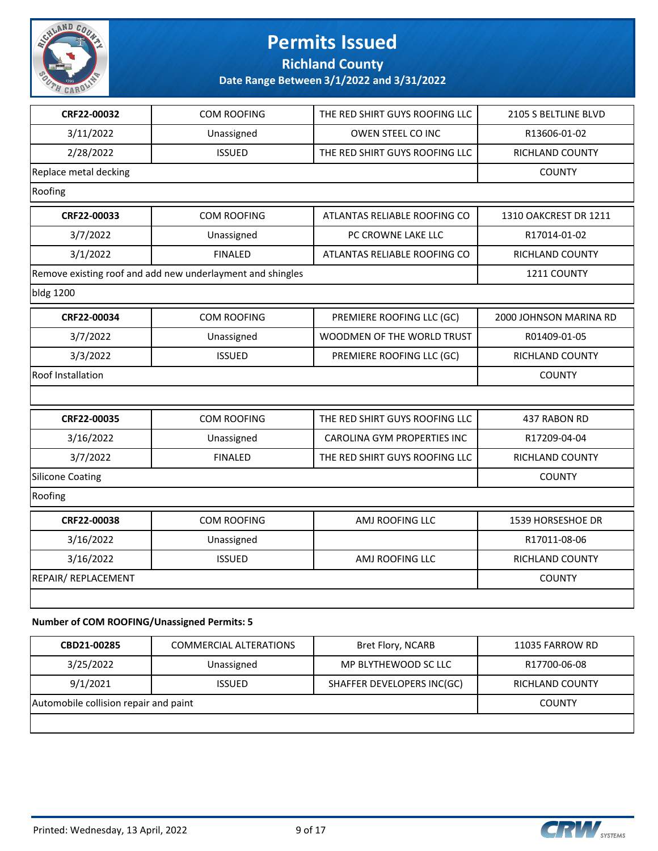

**Richland County**

| CRF22-00032                                 | COM ROOFING                                                | THE RED SHIRT GUYS ROOFING LLC | 2105 S BELTLINE BLVD   |
|---------------------------------------------|------------------------------------------------------------|--------------------------------|------------------------|
| 3/11/2022                                   | Unassigned                                                 | OWEN STEEL CO INC              | R13606-01-02           |
| 2/28/2022                                   | <b>ISSUED</b>                                              | THE RED SHIRT GUYS ROOFING LLC | RICHLAND COUNTY        |
| Replace metal decking                       |                                                            |                                | <b>COUNTY</b>          |
| Roofing                                     |                                                            |                                |                        |
| CRF22-00033                                 | COM ROOFING                                                | ATLANTAS RELIABLE ROOFING CO   | 1310 OAKCREST DR 1211  |
| 3/7/2022                                    | Unassigned                                                 | PC CROWNE LAKE LLC             | R17014-01-02           |
| 3/1/2022                                    | <b>FINALED</b>                                             | ATLANTAS RELIABLE ROOFING CO   | <b>RICHLAND COUNTY</b> |
|                                             | Remove existing roof and add new underlayment and shingles |                                | 1211 COUNTY            |
| bldg 1200                                   |                                                            |                                |                        |
| CRF22-00034                                 | <b>COM ROOFING</b>                                         | PREMIERE ROOFING LLC (GC)      | 2000 JOHNSON MARINA RD |
| 3/7/2022                                    | Unassigned                                                 | WOODMEN OF THE WORLD TRUST     | R01409-01-05           |
| 3/3/2022                                    | <b>ISSUED</b>                                              | PREMIERE ROOFING LLC (GC)      | <b>RICHLAND COUNTY</b> |
| <b>Roof Installation</b>                    |                                                            |                                | <b>COUNTY</b>          |
|                                             |                                                            |                                |                        |
| CRF22-00035                                 | <b>COM ROOFING</b>                                         | THE RED SHIRT GUYS ROOFING LLC | 437 RABON RD           |
| 3/16/2022                                   | Unassigned                                                 | CAROLINA GYM PROPERTIES INC    | R17209-04-04           |
| 3/7/2022                                    | <b>FINALED</b>                                             | THE RED SHIRT GUYS ROOFING LLC | RICHLAND COUNTY        |
| Silicone Coating                            |                                                            |                                | <b>COUNTY</b>          |
| Roofing                                     |                                                            |                                |                        |
| CRF22-00038                                 | <b>COM ROOFING</b>                                         | AMJ ROOFING LLC                | 1539 HORSESHOE DR      |
| 3/16/2022                                   | Unassigned                                                 |                                | R17011-08-06           |
| 3/16/2022                                   | <b>ISSUED</b>                                              | AMJ ROOFING LLC                | RICHLAND COUNTY        |
| REPAIR/ REPLACEMENT                         |                                                            |                                | <b>COUNTY</b>          |
|                                             |                                                            |                                |                        |
| Number of COM ROOFING/Unassigned Permits: 5 |                                                            |                                |                        |

| CBD21-00285                           | <b>COMMERCIAL ALTERATIONS</b> | Bret Flory, NCARB          | 11035 FARROW RD |
|---------------------------------------|-------------------------------|----------------------------|-----------------|
| 3/25/2022                             | Unassigned                    | MP BLYTHEWOOD SC LLC       | R17700-06-08    |
| 9/1/2021                              | <b>ISSUED</b>                 | SHAFFER DEVELOPERS INC(GC) | RICHLAND COUNTY |
| Automobile collision repair and paint | <b>COUNTY</b>                 |                            |                 |
|                                       |                               |                            |                 |

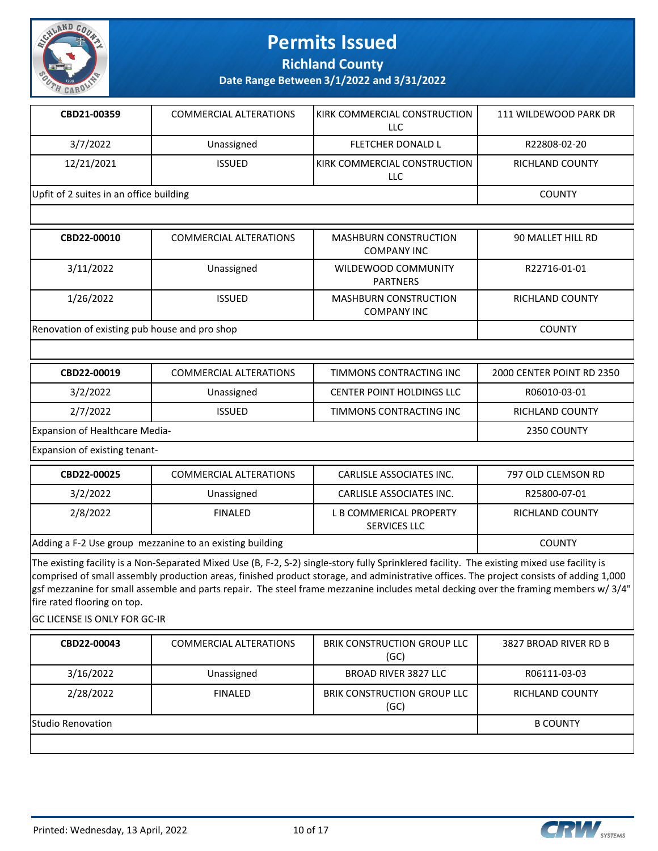

**Richland County**

**Date Range Between 3/1/2022 and 3/31/2022**

| CBD21-00359                             | COMMERCIAL ALTERATIONS | <b>IKIRK COMMERCIAL CONSTRUCTION</b><br>LLC | 111 WILDEWOOD PARK DR |
|-----------------------------------------|------------------------|---------------------------------------------|-----------------------|
| 3/7/2022                                | Unassigned             | <b>FLETCHER DONALD L</b>                    | R22808-02-20          |
| 12/21/2021                              | <b>ISSUED</b>          | <b>IKIRK COMMERCIAL CONSTRUCTION</b><br>LLC | RICHLAND COUNTY       |
| Upfit of 2 suites in an office building |                        |                                             | <b>COUNTY</b>         |

| CBD22-00010                                   | <b>COMMERCIAL ALTERATIONS</b> | <b>MASHBURN CONSTRUCTION</b><br><b>COMPANY INC</b> | 90 MALLET HILL RD |
|-----------------------------------------------|-------------------------------|----------------------------------------------------|-------------------|
| 3/11/2022                                     | Unassigned                    | WILDEWOOD COMMUNITY<br><b>PARTNERS</b>             | R22716-01-01      |
| 1/26/2022                                     | <b>ISSUED</b>                 | <b>MASHBURN CONSTRUCTION</b><br>COMPANY INC        | RICHLAND COUNTY   |
| Renovation of existing pub house and pro shop | <b>COUNTY</b>                 |                                                    |                   |

| CBD22-00019                    | <b>COMMERCIAL ALTERATIONS</b> | TIMMONS CONTRACTING INC          | 2000 CENTER POINT RD 2350 |
|--------------------------------|-------------------------------|----------------------------------|---------------------------|
| 3/2/2022                       | Unassigned                    | <b>CENTER POINT HOLDINGS LLC</b> | R06010-03-01              |
| 2/7/2022                       | <b>ISSUED</b>                 | TIMMONS CONTRACTING INC          | RICHLAND COUNTY           |
| Expansion of Healthcare Media- |                               |                                  | 2350 COUNTY               |

Expansion of existing tenant-

| CBD22-00025                                              | COMMERCIAL ALTERATIONS | CARLISLE ASSOCIATES INC.                       | 797 OLD CLEMSON RD |
|----------------------------------------------------------|------------------------|------------------------------------------------|--------------------|
| 3/2/2022                                                 | Unassigned             | CARLISLE ASSOCIATES INC.                       | R25800-07-01       |
| 2/8/2022                                                 | <b>FINALED</b>         | L B COMMERICAL PROPERTY<br><b>SERVICES LLC</b> | RICHLAND COUNTY    |
| Adding a F-2 Use group mezzanine to an existing building |                        |                                                | <b>COUNTY</b>      |

The existing facility is a Non-Separated Mixed Use (B, F-2, S-2) single-story fully Sprinklered facility. The existing mixed use facility is comprised of small assembly production areas, finished product storage, and administrative offices. The project consists of adding 1,000 gsf mezzanine for small assemble and parts repair. The steel frame mezzanine includes metal decking over the framing members w/ 3/4" fire rated flooring on top.

GC LICENSE IS ONLY FOR GC-IR

| CBD22-00043              | <b>COMMERCIAL ALTERATIONS</b> | <b>BRIK CONSTRUCTION GROUP LLC</b><br>(GC) | 3827 BROAD RIVER RD B |
|--------------------------|-------------------------------|--------------------------------------------|-----------------------|
| 3/16/2022                | Unassigned                    | <b>BROAD RIVER 3827 LLC</b>                | R06111-03-03          |
| 2/28/2022                | <b>FINALED</b>                | BRIK CONSTRUCTION GROUP LLC<br>(GC)        | RICHLAND COUNTY       |
| <b>Studio Renovation</b> |                               |                                            | <b>B COUNTY</b>       |
|                          |                               |                                            |                       |

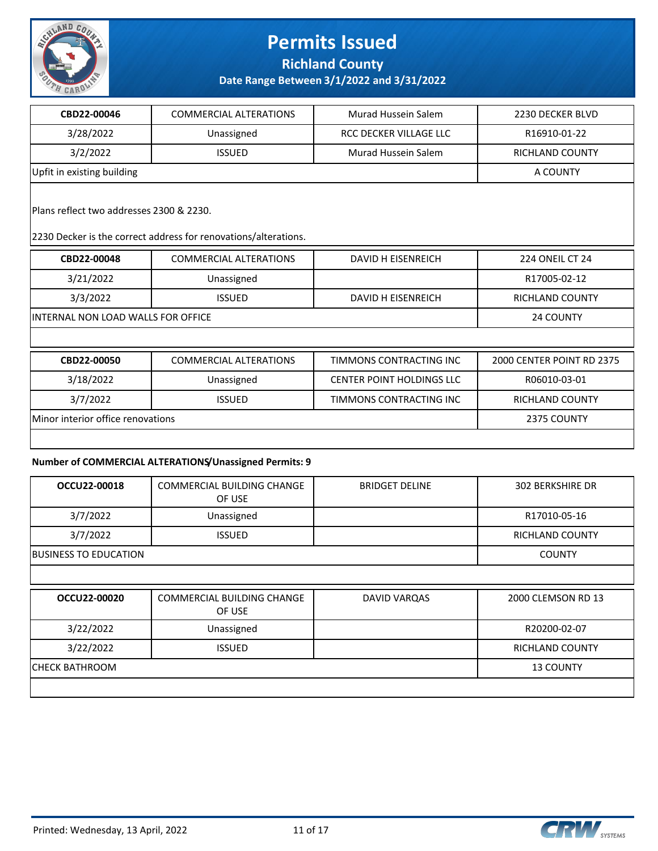

**Richland County**

**Date Range Between 3/1/2022 and 3/31/2022**

| CBD22-00046                | <b>COMMERCIAL ALTERATIONS</b> | Murad Hussein Salem    | 2230 DECKER BLVD |
|----------------------------|-------------------------------|------------------------|------------------|
| 3/28/2022                  | Unassigned                    | RCC DECKER VILLAGE LLC | R16910-01-22     |
| 3/2/2022                   | <b>ISSUED</b>                 | Murad Hussein Salem    | RICHLAND COUNTY  |
| Upfit in existing building |                               |                        | A COUNTY         |

Plans reflect two addresses 2300 & 2230.

2230 Decker is the correct address for renovations/alterations.

| CBD22-00048                        | <b>COMMERCIAL ALTERATIONS</b> | DAVID H EISENREICH | 224 ONEIL CT 24 |
|------------------------------------|-------------------------------|--------------------|-----------------|
| 3/21/2022                          | Unassigned                    |                    | R17005-02-12    |
| 3/3/2022                           | <b>ISSUED</b>                 | DAVID H EISENREICH | RICHLAND COUNTY |
| INTERNAL NON LOAD WALLS FOR OFFICE |                               |                    | 24 COUNTY       |

| CBD22-00050                       | <b>COMMERCIAL ALTERATIONS</b> | TIMMONS CONTRACTING INC   | 2000 CENTER POINT RD 2375 |
|-----------------------------------|-------------------------------|---------------------------|---------------------------|
| 3/18/2022                         | Unassigned                    | CENTER POINT HOLDINGS LLC | R06010-03-01              |
| 3/7/2022                          | <b>ISSUED</b>                 | TIMMONS CONTRACTING INC   | RICHLAND COUNTY           |
| Minor interior office renovations |                               |                           | 2375 COUNTY               |
|                                   |                               |                           |                           |

#### **Number of COMMERCIAL ALTERATIONS/Unassigned Permits: 9**

| OCCU22-00018          | <b>COMMERCIAL BUILDING CHANGE</b><br>OF USE | <b>BRIDGET DELINE</b> | <b>302 BERKSHIRE DR</b> |  |
|-----------------------|---------------------------------------------|-----------------------|-------------------------|--|
| 3/7/2022              | Unassigned                                  |                       | R17010-05-16            |  |
| 3/7/2022              | <b>ISSUED</b>                               |                       | <b>RICHLAND COUNTY</b>  |  |
| BUSINESS TO EDUCATION |                                             |                       |                         |  |
|                       |                                             |                       |                         |  |
|                       |                                             |                       |                         |  |
| OCCU22-00020          | <b>COMMERCIAL BUILDING CHANGE</b><br>OF USE | DAVID VARQAS          | 2000 CLEMSON RD 13      |  |
| 3/22/2022             | Unassigned                                  |                       | R20200-02-07            |  |
| 3/22/2022             | <b>ISSUED</b>                               |                       | <b>RICHLAND COUNTY</b>  |  |
| CHECK BATHROOM        |                                             |                       | <b>13 COUNTY</b>        |  |



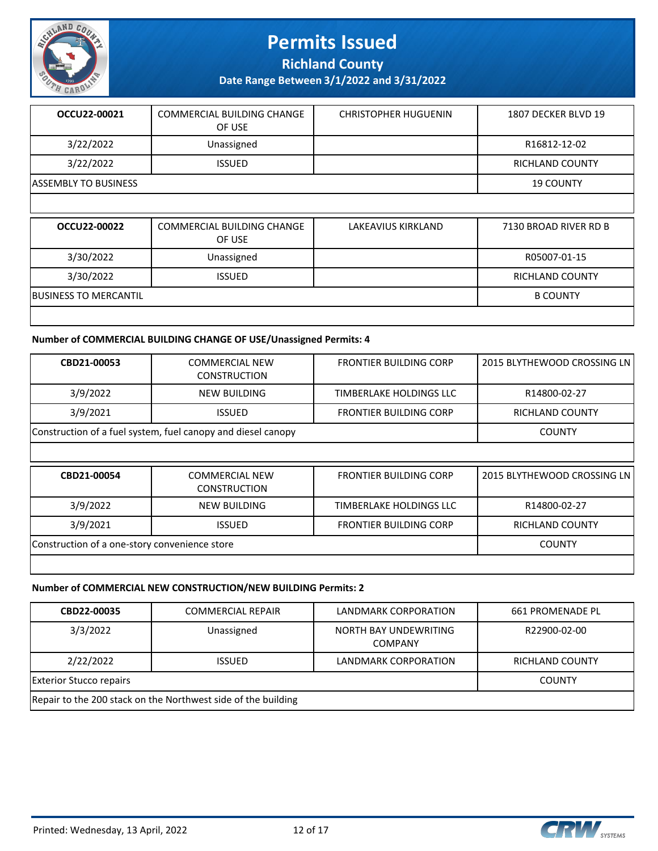

**Richland County**

**Date Range Between 3/1/2022 and 3/31/2022**

| OCCU22-00021                | COMMERCIAL BUILDING CHANGE | <b>CHRISTOPHER HUGUENIN</b> | 1807 DECKER BLVD 19    |
|-----------------------------|----------------------------|-----------------------------|------------------------|
|                             | OF USE                     |                             |                        |
| 3/22/2022                   | Unassigned                 |                             | R16812-12-02           |
| 3/22/2022                   | <b>ISSUED</b>              |                             | <b>RICHLAND COUNTY</b> |
| <b>ASSEMBLY TO BUSINESS</b> |                            |                             | <b>19 COUNTY</b>       |
|                             |                            |                             |                        |

| OCCU22-00022                 | COMMERCIAL BUILDING CHANGE<br>OF USE | LAKEAVIUS KIRKLAND | 7130 BROAD RIVER RD B |
|------------------------------|--------------------------------------|--------------------|-----------------------|
| 3/30/2022                    | Unassigned                           |                    | R05007-01-15          |
| 3/30/2022                    | <b>ISSUED</b>                        |                    | RICHLAND COUNTY       |
| <b>BUSINESS TO MERCANTIL</b> |                                      |                    | <b>B COUNTY</b>       |
|                              |                                      |                    |                       |

#### **Number of COMMERCIAL BUILDING CHANGE OF USE/Unassigned Permits: 4**

| CBD21-00053                                                  | <b>COMMERCIAL NEW</b><br><b>CONSTRUCTION</b> | <b>FRONTIER BUILDING CORP</b> | 2015 BLYTHEWOOD CROSSING LN |
|--------------------------------------------------------------|----------------------------------------------|-------------------------------|-----------------------------|
| 3/9/2022                                                     | NEW BUILDING                                 | TIMBERLAKE HOLDINGS LLC       | R14800-02-27                |
| 3/9/2021                                                     | <b>ISSUED</b>                                | <b>FRONTIER BUILDING CORP</b> | <b>RICHLAND COUNTY</b>      |
| Construction of a fuel system, fuel canopy and diesel canopy | <b>COUNTY</b>                                |                               |                             |
|                                                              |                                              |                               |                             |
| CBD21-00054                                                  | <b>COMMERCIAL NEW</b><br><b>CONSTRUCTION</b> | <b>FRONTIER BUILDING CORP</b> | 2015 BLYTHEWOOD CROSSING LN |
| 3/9/2022                                                     | <b>NEW BUILDING</b>                          | TIMBERLAKE HOLDINGS LLC       | R14800-02-27                |
| 3/9/2021                                                     |                                              |                               |                             |
|                                                              | <b>ISSUED</b>                                | <b>FRONTIER BUILDING CORP</b> | <b>RICHLAND COUNTY</b>      |
| Construction of a one-story convenience store                |                                              |                               | <b>COUNTY</b>               |

#### **Number of COMMERCIAL NEW CONSTRUCTION/NEW BUILDING Permits: 2**

| CBD22-00035                                                   | <b>COMMERCIAL REPAIR</b> | LANDMARK CORPORATION                    | 661 PROMENADE PL       |
|---------------------------------------------------------------|--------------------------|-----------------------------------------|------------------------|
| 3/3/2022                                                      | Unassigned               | NORTH BAY UNDEWRITING<br><b>COMPANY</b> | R22900-02-00           |
| 2/22/2022                                                     | <b>ISSUED</b>            | LANDMARK CORPORATION                    | <b>RICHLAND COUNTY</b> |
| <b>Exterior Stucco repairs</b>                                | <b>COUNTY</b>            |                                         |                        |
| Repair to the 200 stack on the Northwest side of the building |                          |                                         |                        |



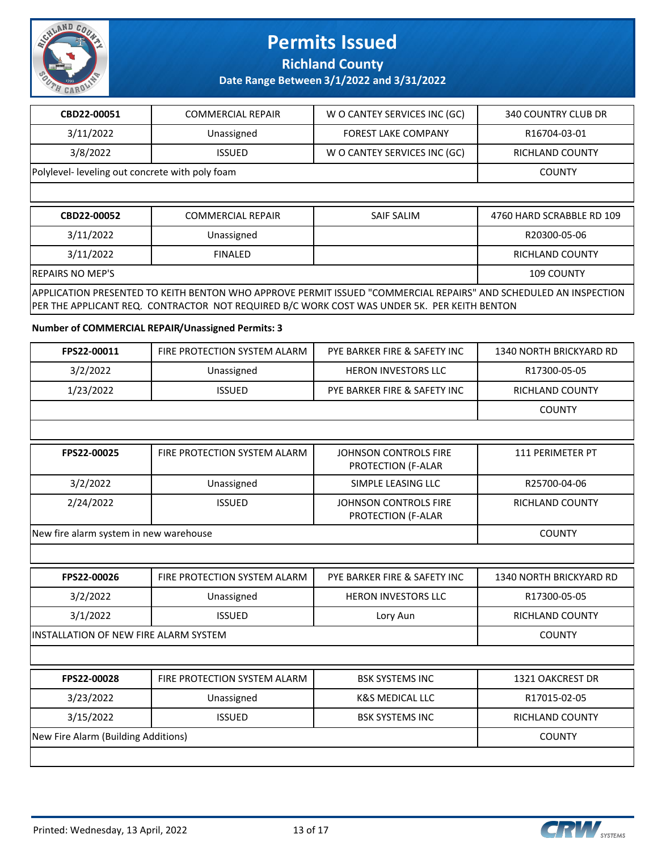

**Richland County**

**Date Range Between 3/1/2022 and 3/31/2022**

| CBD22-00051                                     | <b>COMMERCIAL REPAIR</b> | W O CANTEY SERVICES INC (GC) | 340 COUNTRY CLUB DR |
|-------------------------------------------------|--------------------------|------------------------------|---------------------|
| 3/11/2022                                       | Unassigned               | <b>FOREST LAKE COMPANY</b>   | R16704-03-01        |
| 3/8/2022                                        | <b>ISSUED</b>            | W O CANTEY SERVICES INC (GC) | RICHLAND COUNTY     |
| Polylevel- leveling out concrete with poly foam |                          |                              | <b>COUNTY</b>       |
|                                                 |                          |                              |                     |

| CBD22-00052                                                                                                      | <b>COMMERCIAL REPAIR</b> | SAIF SALIM | 4760 HARD SCRABBLE RD 109 |
|------------------------------------------------------------------------------------------------------------------|--------------------------|------------|---------------------------|
| 3/11/2022                                                                                                        | Unassigned               |            | R20300-05-06              |
| 3/11/2022                                                                                                        | <b>FINALED</b>           |            | <b>RICHLAND COUNTY</b>    |
| <b>REPAIRS NO MEP'S</b><br>109 COUNTY                                                                            |                          |            |                           |
| APPLICATION PRESENTED TO KEITH BENTON WHO APPROVE PERMIT ISSUED "COMMERCIAL REPAIRS" AND SCHEDULED AN INSPECTION |                          |            |                           |
| PER THE APPLICANT REQ. CONTRACTOR NOT REQUIRED B/C WORK COST WAS UNDER 5K. PER KEITH BENTON                      |                          |            |                           |

**Number of COMMERCIAL REPAIR/Unassigned Permits: 3**

|                    |                              |                              | <b>COUNTY</b>           |
|--------------------|------------------------------|------------------------------|-------------------------|
| 1/23/2022          | <b>ISSUED</b>                | PYE BARKER FIRE & SAFETY INC | RICHLAND COUNTY         |
| 3/2/2022           | Unassigned                   | <b>HERON INVESTORS LLC</b>   | R17300-05-05            |
| <b>FPS22-00011</b> | FIRE PROTECTION SYSTEM ALARM | PYE BARKER FIRE & SAFETY INC | 1340 NORTH BRICKYARD RD |

| FPS22-00025                            | FIRE PROTECTION SYSTEM ALARM | JOHNSON CONTROLS FIRE<br><b>PROTECTION (F-ALAR</b> | 111 PFRIMFTFR PT |
|----------------------------------------|------------------------------|----------------------------------------------------|------------------|
| 3/2/2022                               | Unassigned                   | SIMPLE LEASING LLC                                 | R25700-04-06     |
| 2/24/2022                              | <b>ISSUED</b>                | JOHNSON CONTROLS FIRE<br><b>PROTECTION (F-ALAR</b> | RICHLAND COUNTY  |
| New fire alarm system in new warehouse |                              |                                                    | <b>COUNTY</b>    |

| FPS22-00026                            | FIRE PROTECTION SYSTEM ALARM | PYE BARKER FIRE & SAFETY INC | 1340 NORTH BRICKYARD RD |
|----------------------------------------|------------------------------|------------------------------|-------------------------|
| 3/2/2022                               | Unassigned                   | <b>HERON INVESTORS LLC</b>   | R17300-05-05            |
| 3/1/2022                               | <b>ISSUED</b>                | Lory Aun                     | <b>RICHLAND COUNTY</b>  |
| IINSTALLATION OF NEW FIRE ALARM SYSTEM |                              |                              | <b>COUNTY</b>           |

| FPS22-00028                         | FIRE PROTECTION SYSTEM ALARM | <b>BSK SYSTEMS INC</b> | 1321 OAKCREST DR |
|-------------------------------------|------------------------------|------------------------|------------------|
| 3/23/2022                           | Unassigned                   | K&S MEDICAL LLC        | R17015-02-05     |
| 3/15/2022                           | <b>ISSUED</b>                | <b>BSK SYSTEMS INC</b> | RICHLAND COUNTY  |
| New Fire Alarm (Building Additions) |                              |                        | <b>COUNTY</b>    |
|                                     |                              |                        |                  |

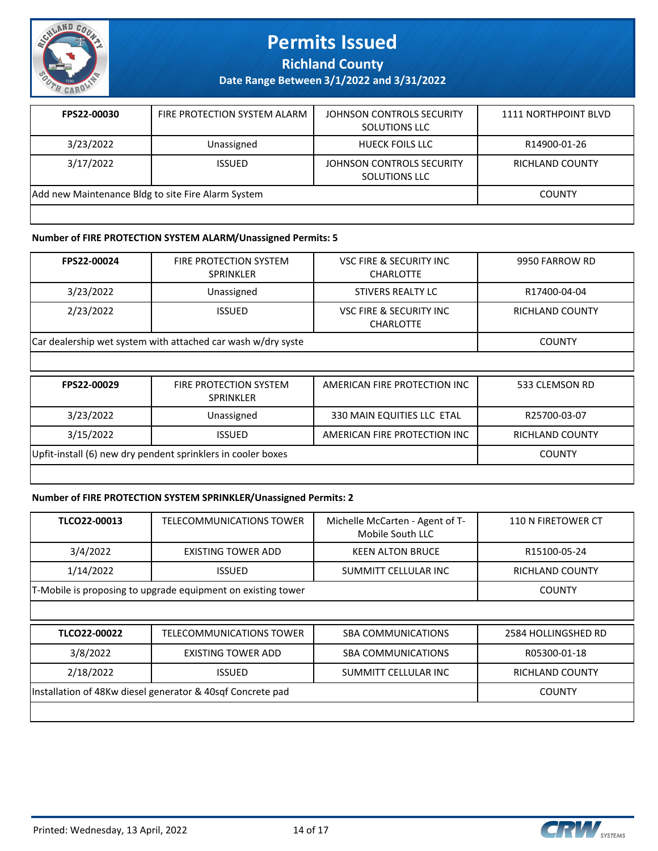

**Richland County**

**Date Range Between 3/1/2022 and 3/31/2022**

| FPS22-00030                                        | FIRE PROTECTION SYSTEM ALARM | JOHNSON CONTROLS SECURITY<br><b>SOLUTIONS LLC</b> | 1111 NORTHPOINT BLVD |
|----------------------------------------------------|------------------------------|---------------------------------------------------|----------------------|
| 3/23/2022                                          | Unassigned                   | <b>HUECK FOILS LLC</b>                            | R14900-01-26         |
| 3/17/2022                                          | <b>ISSUED</b>                | JOHNSON CONTROLS SECURITY<br><b>SOLUTIONS LLC</b> | RICHLAND COUNTY      |
| Add new Maintenance Bldg to site Fire Alarm System |                              |                                                   | <b>COUNTY</b>        |
|                                                    |                              |                                                   |                      |

#### **Number of FIRE PROTECTION SYSTEM ALARM/Unassigned Permits: 5**

| FPS22-00024                                                  | <b>FIRE PROTECTION SYSTEM</b><br><b>SPRINKLER</b>            | <b>VSC FIRE &amp; SECURITY INC</b><br><b>CHARLOTTE</b> | 9950 FARROW RD         |
|--------------------------------------------------------------|--------------------------------------------------------------|--------------------------------------------------------|------------------------|
| 3/23/2022                                                    | Unassigned                                                   | STIVERS REALTY LC                                      | R17400-04-04           |
| 2/23/2022                                                    | <b>ISSUED</b>                                                | <b>VSC FIRE &amp; SECURITY INC</b><br><b>CHARLOTTE</b> | <b>RICHLAND COUNTY</b> |
|                                                              | Car dealership wet system with attached car wash w/dry syste |                                                        | <b>COUNTY</b>          |
|                                                              |                                                              |                                                        |                        |
| FPS22-00029                                                  | <b>FIRE PROTECTION SYSTEM</b><br><b>SPRINKLER</b>            | AMERICAN FIRE PROTECTION INC                           | 533 CLEMSON RD         |
| 3/23/2022                                                    | Unassigned                                                   | 330 MAIN EQUITIES LLC ETAL                             | R25700-03-07           |
| 3/15/2022                                                    | <b>ISSUED</b>                                                | AMERICAN FIRE PROTECTION INC                           | RICHLAND COUNTY        |
| Upfit-install (6) new dry pendent sprinklers in cooler boxes |                                                              |                                                        | <b>COUNTY</b>          |
|                                                              |                                                              |                                                        |                        |

#### **Number of FIRE PROTECTION SYSTEM SPRINKLER/Unassigned Permits: 2**

| TLCO22-00013                                               | <b>TELECOMMUNICATIONS TOWER</b>                              | Michelle McCarten - Agent of T-<br>Mobile South LLC | 110 N FIRETOWER CT     |
|------------------------------------------------------------|--------------------------------------------------------------|-----------------------------------------------------|------------------------|
| 3/4/2022                                                   | EXISTING TOWER ADD                                           | <b>KEEN ALTON BRUCE</b>                             | R15100-05-24           |
| 1/14/2022                                                  | <b>ISSUED</b>                                                | SUMMITT CELLULAR INC                                | <b>RICHLAND COUNTY</b> |
|                                                            | T-Mobile is proposing to upgrade equipment on existing tower |                                                     |                        |
|                                                            |                                                              |                                                     |                        |
| TLCO22-00022                                               | TELECOMMUNICATIONS TOWER                                     | <b>SBA COMMUNICATIONS</b>                           | 2584 HOLLINGSHED RD    |
| 3/8/2022                                                   | <b>EXISTING TOWER ADD</b>                                    | <b>SBA COMMUNICATIONS</b>                           | R05300-01-18           |
| 2/18/2022                                                  | <b>RICHLAND COUNTY</b>                                       |                                                     |                        |
| Installation of 48Kw diesel generator & 40sqf Concrete pad |                                                              |                                                     | <b>COUNTY</b>          |
|                                                            |                                                              |                                                     |                        |

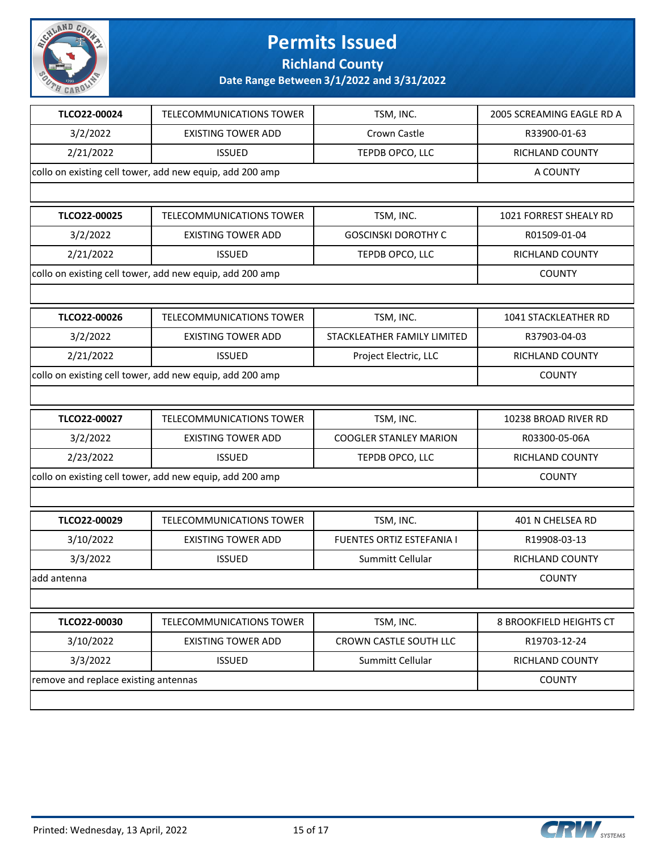

**Richland County**

| TLCO22-00024 | TELECOMMUNICATIONS TOWER                                 | TSM, INC.                     | 2005 SCREAMING EAGLE RD A |  |
|--------------|----------------------------------------------------------|-------------------------------|---------------------------|--|
| 3/2/2022     | <b>EXISTING TOWER ADD</b>                                | Crown Castle                  | R33900-01-63              |  |
| 2/21/2022    | <b>ISSUED</b>                                            | TEPDB OPCO, LLC               | RICHLAND COUNTY           |  |
|              | collo on existing cell tower, add new equip, add 200 amp |                               | A COUNTY                  |  |
|              |                                                          |                               |                           |  |
| TLCO22-00025 | <b>TELECOMMUNICATIONS TOWER</b>                          | TSM, INC.                     | 1021 FORREST SHEALY RD    |  |
| 3/2/2022     | <b>EXISTING TOWER ADD</b>                                | <b>GOSCINSKI DOROTHY C</b>    | R01509-01-04              |  |
| 2/21/2022    | <b>ISSUED</b>                                            | TEPDB OPCO, LLC               | RICHLAND COUNTY           |  |
|              | collo on existing cell tower, add new equip, add 200 amp |                               | <b>COUNTY</b>             |  |
|              |                                                          |                               |                           |  |
| TLCO22-00026 | <b>TELECOMMUNICATIONS TOWER</b>                          | TSM, INC.                     | 1041 STACKLEATHER RD      |  |
| 3/2/2022     | <b>EXISTING TOWER ADD</b>                                | STACKLEATHER FAMILY LIMITED   | R37903-04-03              |  |
| 2/21/2022    | <b>ISSUED</b>                                            | Project Electric, LLC         | RICHLAND COUNTY           |  |
|              | collo on existing cell tower, add new equip, add 200 amp |                               | <b>COUNTY</b>             |  |
|              |                                                          |                               |                           |  |
| TLCO22-00027 | TELECOMMUNICATIONS TOWER                                 | TSM, INC.                     | 10238 BROAD RIVER RD      |  |
| 3/2/2022     | <b>EXISTING TOWER ADD</b>                                | <b>COOGLER STANLEY MARION</b> | R03300-05-06A             |  |
| 2/23/2022    | <b>ISSUED</b>                                            | TEPDB OPCO, LLC               | RICHLAND COUNTY           |  |
|              | collo on existing cell tower, add new equip, add 200 amp |                               | <b>COUNTY</b>             |  |
|              |                                                          |                               |                           |  |
| TLCO22-00029 | <b>TELECOMMUNICATIONS TOWER</b>                          | TSM, INC.                     | 401 N CHELSEA RD          |  |
| 3/10/2022    | <b>EXISTING TOWER ADD</b>                                | FUENTES ORTIZ ESTEFANIA I     | R19908-03-13              |  |
| 3/3/2022     | <b>ISSUED</b>                                            | Summitt Cellular              | RICHLAND COUNTY           |  |
| add antenna  |                                                          |                               | <b>COUNTY</b>             |  |
|              |                                                          |                               |                           |  |
| TLCO22-00030 | <b>TELECOMMUNICATIONS TOWER</b>                          | TSM, INC.                     | 8 BROOKFIELD HEIGHTS CT   |  |
| 3/10/2022    | <b>EXISTING TOWER ADD</b>                                | CROWN CASTLE SOUTH LLC        | R19703-12-24              |  |
| 3/3/2022     | <b>ISSUED</b>                                            | Summitt Cellular              | RICHLAND COUNTY           |  |
|              | remove and replace existing antennas                     |                               |                           |  |
|              |                                                          |                               |                           |  |

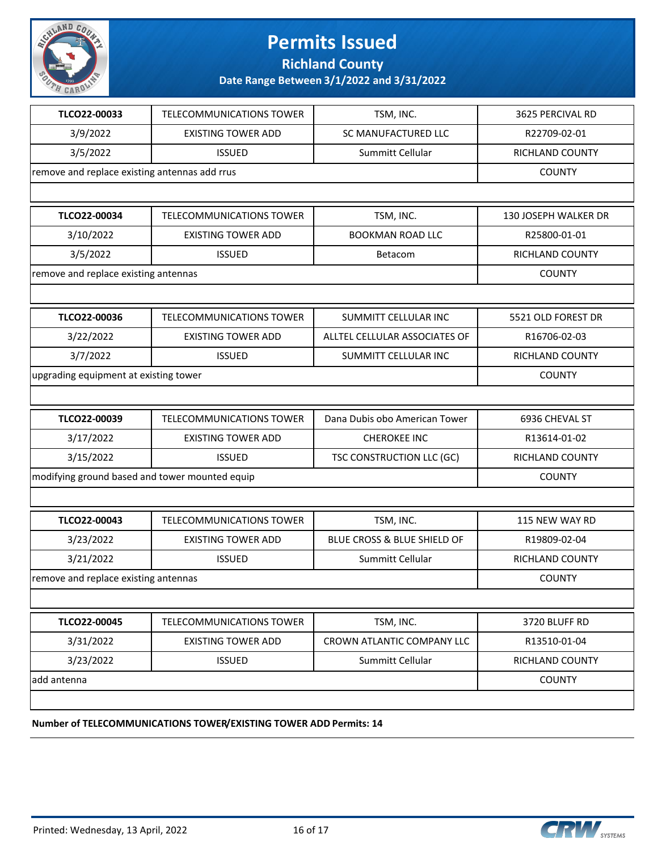

**Richland County**

**Date Range Between 3/1/2022 and 3/31/2022**

| TLCO22-00033                                   | <b>TELECOMMUNICATIONS TOWER</b> | TSM, INC.                     | 3625 PERCIVAL RD     |
|------------------------------------------------|---------------------------------|-------------------------------|----------------------|
| 3/9/2022                                       | <b>EXISTING TOWER ADD</b>       | <b>SC MANUFACTURED LLC</b>    | R22709-02-01         |
| 3/5/2022                                       | <b>ISSUED</b>                   | Summitt Cellular              | RICHLAND COUNTY      |
| remove and replace existing antennas add rrus  |                                 |                               | <b>COUNTY</b>        |
|                                                |                                 |                               |                      |
| TLCO22-00034                                   | <b>TELECOMMUNICATIONS TOWER</b> | TSM, INC.                     | 130 JOSEPH WALKER DR |
| 3/10/2022                                      | <b>EXISTING TOWER ADD</b>       | <b>BOOKMAN ROAD LLC</b>       | R25800-01-01         |
| 3/5/2022                                       | <b>ISSUED</b>                   | Betacom                       | RICHLAND COUNTY      |
| remove and replace existing antennas           |                                 |                               | <b>COUNTY</b>        |
|                                                |                                 |                               |                      |
| TLCO22-00036                                   | TELECOMMUNICATIONS TOWER        | SUMMITT CELLULAR INC          | 5521 OLD FOREST DR   |
| 3/22/2022                                      | <b>EXISTING TOWER ADD</b>       | ALLTEL CELLULAR ASSOCIATES OF | R16706-02-03         |
| 3/7/2022                                       | <b>ISSUED</b>                   | SUMMITT CELLULAR INC          | RICHLAND COUNTY      |
| upgrading equipment at existing tower          |                                 |                               | <b>COUNTY</b>        |
|                                                |                                 |                               |                      |
| TLCO22-00039                                   | <b>TELECOMMUNICATIONS TOWER</b> | Dana Dubis obo American Tower | 6936 CHEVAL ST       |
| 3/17/2022                                      | <b>EXISTING TOWER ADD</b>       | <b>CHEROKEE INC</b>           | R13614-01-02         |
| 3/15/2022                                      | <b>ISSUED</b>                   | TSC CONSTRUCTION LLC (GC)     | RICHLAND COUNTY      |
| modifying ground based and tower mounted equip | <b>COUNTY</b>                   |                               |                      |
|                                                |                                 |                               |                      |
| TLCO22-00043                                   | TELECOMMUNICATIONS TOWER        | TSM, INC.                     | 115 NEW WAY RD       |
| 3/23/2022                                      | <b>EXISTING TOWER ADD</b>       | BLUE CROSS & BLUE SHIELD OF   | R19809-02-04         |
| 3/21/2022                                      | <b>ISSUED</b>                   | Summitt Cellular              | RICHLAND COUNTY      |
| remove and replace existing antennas           |                                 |                               | <b>COUNTY</b>        |
|                                                |                                 |                               |                      |
| TLCO22-00045                                   | TELECOMMUNICATIONS TOWER        | TSM, INC.                     | 3720 BLUFF RD        |
| 3/31/2022                                      | <b>EXISTING TOWER ADD</b>       | CROWN ATLANTIC COMPANY LLC    | R13510-01-04         |
| 3/23/2022                                      | <b>ISSUED</b>                   | Summitt Cellular              | RICHLAND COUNTY      |
| add antenna                                    |                                 |                               | <b>COUNTY</b>        |
|                                                |                                 |                               |                      |
|                                                |                                 |                               |                      |

**Number of TELECOMMUNICATIONS TOWER/EXISTING TOWER ADD Permits: 14**